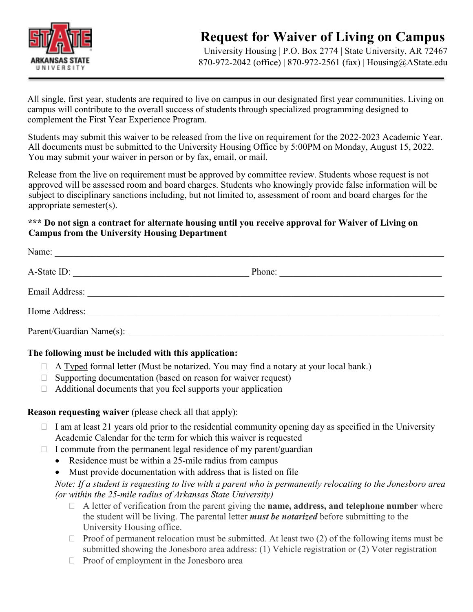

# **Request for Waiver of Living on Campus**

University Housing | P.O. Box 2774 | State University, AR 72467 870-972-2042 (office) | 870-972-2561 (fax) | Housing@AState.edu

All single, first year, students are required to live on campus in our designated first year communities. Living on campus will contribute to the overall success of students through specialized programming designed to complement the First Year Experience Program.

Students may submit this waiver to be released from the live on requirement for the 2022-2023 Academic Year. All documents must be submitted to the University Housing Office by 5:00PM on Monday, August 15, 2022. You may submit your waiver in person or by fax, email, or mail.

Release from the live on requirement must be approved by committee review. Students whose request is not approved will be assessed room and board charges. Students who knowingly provide false information will be subject to disciplinary sanctions including, but not limited to, assessment of room and board charges for the appropriate semester(s).

#### **\*\*\* Do not sign a contract for alternate housing until you receive approval for Waiver of Living on Campus from the University Housing Department**

| Name:                                                                                                                                        |                                                                                                                                 |
|----------------------------------------------------------------------------------------------------------------------------------------------|---------------------------------------------------------------------------------------------------------------------------------|
| A-State ID:<br><u> 1989 - Johann Barn, margaret eta idazlear (h. 1989).</u>                                                                  | Phone:<br><u> 1989 - Johann Harry Barn, mars and de Branch and de Branch and de Branch and de Branch and de Branch and de B</u> |
| Email Address:<br><u> 1980 - John Stone, Amerikaansk politiker (* 1900)</u>                                                                  |                                                                                                                                 |
| Home Address:<br><u> 1989 - John Stein, Amerikaansk politiker (* 1989)</u>                                                                   |                                                                                                                                 |
| Parent/Guardian Name(s):<br>and the control of the control of the control of the control of the control of the control of the control of the |                                                                                                                                 |

#### **The following must be included with this application:**

- $\Box$  A Typed formal letter (Must be notarized. You may find a notary at your local bank.)
- $\Box$  Supporting documentation (based on reason for waiver request)
- $\Box$  Additional documents that you feel supports your application

#### **Reason requesting waiver** (please check all that apply):

- $\Box$  I am at least 21 years old prior to the residential community opening day as specified in the University Academic Calendar for the term for which this waiver is requested
- $\Box$  I commute from the permanent legal residence of my parent/guardian
	- Residence must be within a 25-mile radius from campus
	- Must provide documentation with address that is listed on file

*Note: If a student is requesting to live with a parent who is permanently relocating to the Jonesboro area (or within the 25-mile radius of Arkansas State University)*

- A letter of verification from the parent giving the **name, address, and telephone number** where the student will be living. The parental letter *must be notarized* before submitting to the University Housing office.
- $\Box$  Proof of permanent relocation must be submitted. At least two (2) of the following items must be submitted showing the Jonesboro area address: (1) Vehicle registration or (2) Voter registration
- $\Box$  Proof of employment in the Jonesboro area